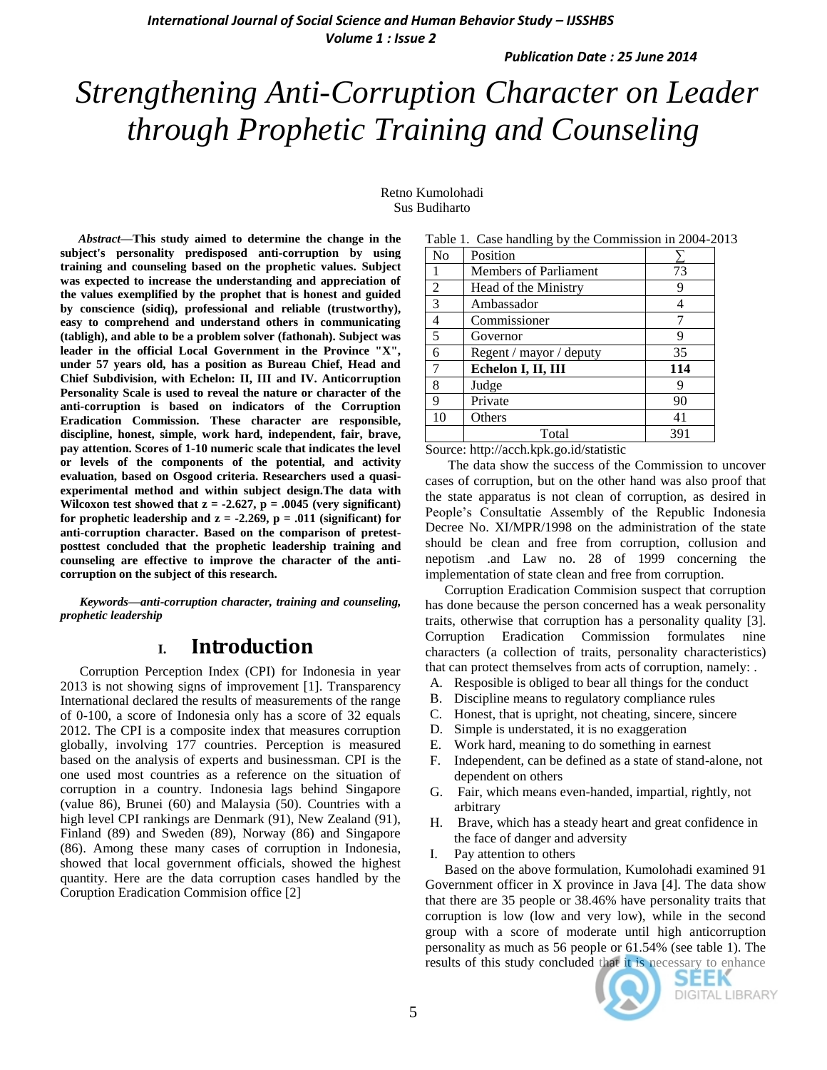# *Strengthening Anti-Corruption Character on Leader through Prophetic Training and Counseling*

Retno Kumolohadi Sus Budiharto

*Abstract***—This study aimed to determine the change in the subject's personality predisposed anti-corruption by using training and counseling based on the prophetic values. Subject was expected to increase the understanding and appreciation of the values exemplified by the prophet that is honest and guided by conscience (sidiq), professional and reliable (trustworthy), easy to comprehend and understand others in communicating (tabligh), and able to be a problem solver (fathonah). Subject was leader in the official Local Government in the Province "X", under 57 years old, has a position as Bureau Chief, Head and Chief Subdivision, with Echelon: II, III and IV. Anticorruption Personality Scale is used to reveal the nature or character of the anti-corruption is based on indicators of the Corruption Eradication Commission. These character are responsible, discipline, honest, simple, work hard, independent, fair, brave, pay attention. Scores of 1-10 numeric scale that indicates the level or levels of the components of the potential, and activity evaluation, based on Osgood criteria. Researchers used a quasiexperimental method and within subject design.The data with Wilcoxon test** showed **that**  $z = -2.627$ ,  $p = .0045$  (very significant) **for prophetic leadership and**  $z = -2.269$ **,**  $p = .011$  **(significant) for anti-corruption character. Based on the comparison of pretestposttest concluded that the prophetic leadership training and counseling are effective to improve the character of the anticorruption on the subject of this research.**

*Keywords—anti-corruption character, training and counseling, prophetic leadership* 

# **I. Introduction**

Corruption Perception Index (CPI) for Indonesia in year 2013 is not showing signs of improvement [1]. Transparency International declared the results of measurements of the range of 0-100, a score of Indonesia only has a score of 32 equals 2012. The CPI is a composite index that measures corruption globally, involving 177 countries. Perception is measured based on the analysis of experts and businessman. CPI is the one used most countries as a reference on the situation of corruption in a country. Indonesia lags behind Singapore (value 86), Brunei (60) and Malaysia (50). Countries with a high level CPI rankings are Denmark (91), New Zealand (91), Finland (89) and Sweden (89), Norway (86) and Singapore (86). Among these many cases of corruption in Indonesia, showed that local government officials, showed the highest quantity. Here are the data corruption cases handled by the Coruption Eradication Commision office [2]

|                | 1 able 1. Case nandling by the Commission in 2004-20 |     |
|----------------|------------------------------------------------------|-----|
| N <sub>0</sub> | Position                                             |     |
|                | <b>Members of Parliament</b>                         | 73  |
| 2              | Head of the Ministry                                 | 9   |
| 3              | Ambassador                                           | 4   |
| $\overline{4}$ | Commissioner                                         |     |
| 5              | Governor                                             | 9   |
| 6              | Regent / mayor / deputy                              | 35  |
| 7              | Echelon I, II, III                                   | 114 |
| $\,8\,$        | Judge                                                | 9   |
| 9              | Private                                              | 90  |
| 10             | Others                                               | 41  |
|                | Total                                                | 391 |

Table 1. Case handling by the Commission in 2004-2013

Source: http://acch.kpk.go.id/statistic

The data show the success of the Commission to uncover cases of corruption, but on the other hand was also proof that the state apparatus is not clean of corruption, as desired in People's Consultatie Assembly of the Republic Indonesia Decree No. XI/MPR/1998 on the administration of the state should be clean and free from corruption, collusion and nepotism .and Law no. 28 of 1999 concerning the implementation of state clean and free from corruption.

Corruption Eradication Commision suspect that corruption has done because the person concerned has a weak personality traits, otherwise that corruption has a personality quality [3]. Corruption Eradication Commission formulates nine characters (a collection of traits, personality characteristics) that can protect themselves from acts of corruption, namely: .

- A. Resposible is obliged to bear all things for the conduct
- B. Discipline means to regulatory compliance rules
- C. Honest, that is upright, not cheating, sincere, sincere
- D. Simple is understated, it is no exaggeration
- E. Work hard, meaning to do something in earnest
- F. Independent, can be defined as a state of stand-alone, not dependent on others
- G. Fair, which means even-handed, impartial, rightly, not arbitrary
- H. Brave, which has a steady heart and great confidence in the face of danger and adversity
- I. Pay attention to others

Based on the above formulation, Kumolohadi examined 91 Government officer in X province in Java [4]. The data show that there are 35 people or 38.46% have personality traits that corruption is low (low and very low), while in the second group with a score of moderate until high anticorruption personality as much as 56 people or 61.54% (see table 1). The results of this study concluded that it is necessary to enhance



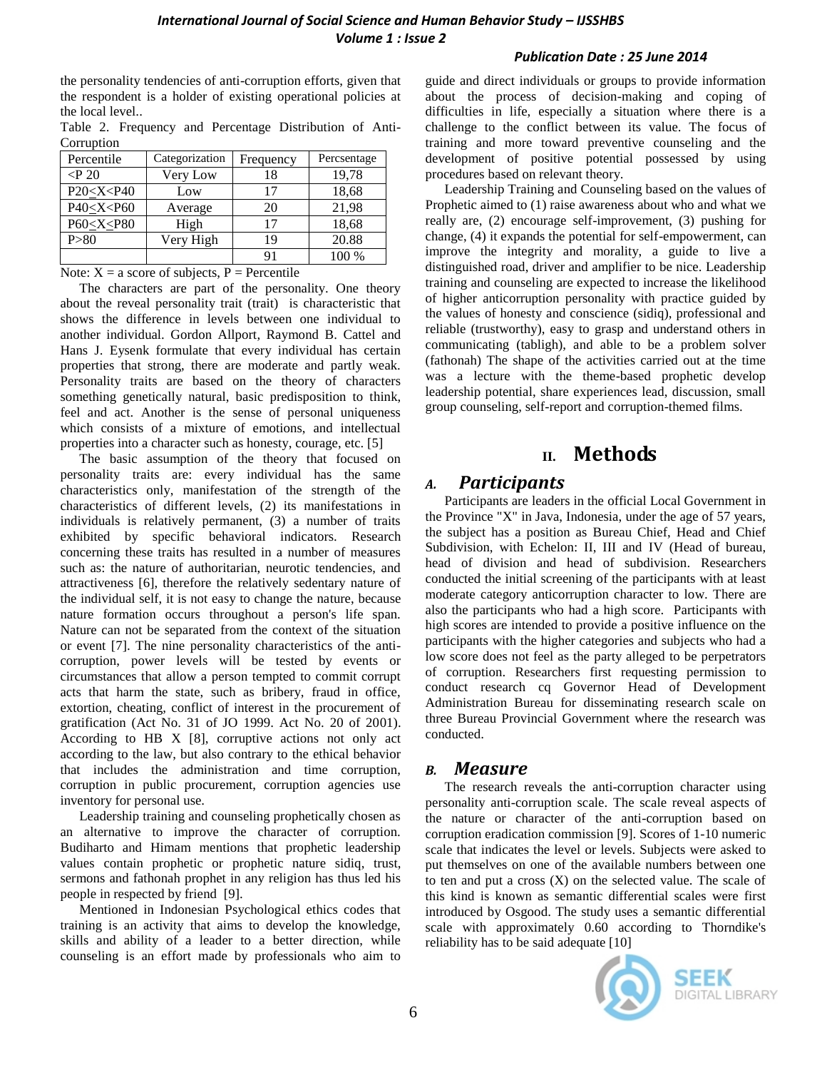the personality tendencies of anti-corruption efforts, given that the respondent is a holder of existing operational policies at the local level..

Table 2. Frequency and Percentage Distribution of Anti-**Corruption** 

| Percentile                                                           | Categorization | Frequency | Percsentage |
|----------------------------------------------------------------------|----------------|-----------|-------------|
| $\langle P~20\rangle$                                                | Very Low       | 18        | 19,78       |
| P20 < X < P40                                                        | Low            | 17        | 18,68       |
| P40 <x<p60< td=""><td>Average</td><td>20</td><td>21,98</td></x<p60<> | Average        | 20        | 21,98       |
| P60 <x<p80< td=""><td>High</td><td>17</td><td>18,68</td></x<p80<>    | High           | 17        | 18,68       |
| P > 80                                                               | Very High      | 19        | 20.88       |
|                                                                      |                | 91        | 100 %       |

Note:  $X = a$  score of subjects,  $P =$  Percentile

The characters are part of the personality. One theory about the reveal personality trait (trait) is characteristic that shows the difference in levels between one individual to another individual. Gordon Allport, Raymond B. Cattel and Hans J. Eysenk formulate that every individual has certain properties that strong, there are moderate and partly weak. Personality traits are based on the theory of characters something genetically natural, basic predisposition to think, feel and act. Another is the sense of personal uniqueness which consists of a mixture of emotions, and intellectual properties into a character such as honesty, courage, etc. [5]

The basic assumption of the theory that focused on personality traits are: every individual has the same characteristics only, manifestation of the strength of the characteristics of different levels, (2) its manifestations in individuals is relatively permanent, (3) a number of traits exhibited by specific behavioral indicators. Research concerning these traits has resulted in a number of measures such as: the nature of authoritarian, neurotic tendencies, and attractiveness [6], therefore the relatively sedentary nature of the individual self, it is not easy to change the nature, because nature formation occurs throughout a person's life span. Nature can not be separated from the context of the situation or event [7]. The nine personality characteristics of the anticorruption, power levels will be tested by events or circumstances that allow a person tempted to commit corrupt acts that harm the state, such as bribery, fraud in office, extortion, cheating, conflict of interest in the procurement of gratification (Act No. 31 of JO 1999. Act No. 20 of 2001). According to HB X [8], corruptive actions not only act according to the law, but also contrary to the ethical behavior that includes the administration and time corruption, corruption in public procurement, corruption agencies use inventory for personal use.

Leadership training and counseling prophetically chosen as an alternative to improve the character of corruption. Budiharto and Himam mentions that prophetic leadership values contain prophetic or prophetic nature sidiq, trust, sermons and fathonah prophet in any religion has thus led his people in respected by friend [9].

Mentioned in Indonesian Psychological ethics codes that training is an activity that aims to develop the knowledge, skills and ability of a leader to a better direction, while counseling is an effort made by professionals who aim to guide and direct individuals or groups to provide information about the process of decision-making and coping of difficulties in life, especially a situation where there is a challenge to the conflict between its value. The focus of training and more toward preventive counseling and the development of positive potential possessed by using procedures based on relevant theory.

Leadership Training and Counseling based on the values of Prophetic aimed to (1) raise awareness about who and what we really are, (2) encourage self-improvement, (3) pushing for change, (4) it expands the potential for self-empowerment, can improve the integrity and morality, a guide to live a distinguished road, driver and amplifier to be nice. Leadership training and counseling are expected to increase the likelihood of higher anticorruption personality with practice guided by the values of honesty and conscience (sidiq), professional and reliable (trustworthy), easy to grasp and understand others in communicating (tabligh), and able to be a problem solver (fathonah) The shape of the activities carried out at the time was a lecture with the theme-based prophetic develop leadership potential, share experiences lead, discussion, small group counseling, self-report and corruption-themed films.

# **II. Methods**

## *A. Participants*

Participants are leaders in the official Local Government in the Province "X" in Java, Indonesia, under the age of 57 years, the subject has a position as Bureau Chief, Head and Chief Subdivision, with Echelon: II, III and IV (Head of bureau, head of division and head of subdivision. Researchers conducted the initial screening of the participants with at least moderate category anticorruption character to low. There are also the participants who had a high score. Participants with high scores are intended to provide a positive influence on the participants with the higher categories and subjects who had a low score does not feel as the party alleged to be perpetrators of corruption. Researchers first requesting permission to conduct research cq Governor Head of Development Administration Bureau for disseminating research scale on three Bureau Provincial Government where the research was conducted.

## *B. Measure*

The research reveals the anti-corruption character using personality anti-corruption scale. The scale reveal aspects of the nature or character of the anti-corruption based on corruption eradication commission [9]. Scores of 1-10 numeric scale that indicates the level or levels. Subjects were asked to put themselves on one of the available numbers between one to ten and put a cross  $(X)$  on the selected value. The scale of this kind is known as semantic differential scales were first introduced by Osgood. The study uses a semantic differential scale with approximately 0.60 according to Thorndike's reliability has to be said adequate [10]

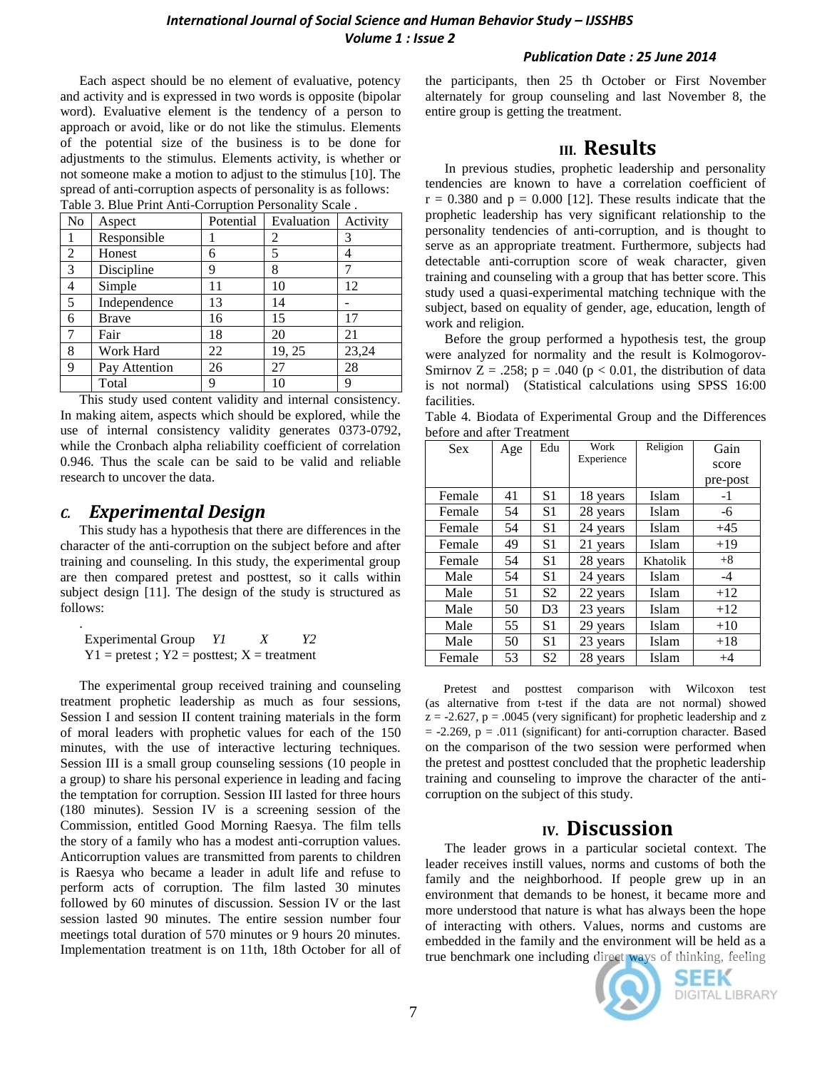Each aspect should be no element of evaluative, potency and activity and is expressed in two words is opposite (bipolar word). Evaluative element is the tendency of a person to approach or avoid, like or do not like the stimulus. Elements of the potential size of the business is to be done for adjustments to the stimulus. Elements activity, is whether or not someone make a motion to adjust to the stimulus [10]. The spread of anti-corruption aspects of personality is as follows: Table 3. Blue Print Anti-Corruption Personality Scale .

| No             | Aspect        | Potential | Evaluation | Activity |
|----------------|---------------|-----------|------------|----------|
|                | Responsible   |           | 2          | 3        |
| $\overline{2}$ | Honest        | 6         | 5          | 4        |
| $\overline{3}$ | Discipline    | 9         | 8          |          |
| $\overline{4}$ | Simple        | 11        | 10         | 12       |
| 5              | Independence  | 13        | 14         |          |
| 6              | <b>Brave</b>  | 16        | 15         | 17       |
| $\tau$         | Fair          | 18        | 20         | 21       |
| 8              | Work Hard     | 22        | 19, 25     | 23,24    |
| 9              | Pay Attention | 26        | 27         | 28       |
|                | Total         | 9         | 10         | q        |

This study used content validity and internal consistency. In making aitem, aspects which should be explored, while the use of internal consistency validity generates 0373-0792, while the Cronbach alpha reliability coefficient of correlation 0.946. Thus the scale can be said to be valid and reliable research to uncover the data.

# *C. Experimental Design*

This study has a hypothesis that there are differences in the character of the anti-corruption on the subject before and after training and counseling. In this study, the experimental group are then compared pretest and posttest, so it calls within subject design [11]. The design of the study is structured as follows:

. Experimental Group *Y1 X Y2*   $Y1 =$  pretest;  $Y2 =$  posttest;  $X =$  treatment

The experimental group received training and counseling treatment prophetic leadership as much as four sessions, Session I and session II content training materials in the form of moral leaders with prophetic values for each of the 150 minutes, with the use of interactive lecturing techniques. Session III is a small group counseling sessions (10 people in a group) to share his personal experience in leading and facing the temptation for corruption. Session III lasted for three hours (180 minutes). Session IV is a screening session of the Commission, entitled Good Morning Raesya. The film tells the story of a family who has a modest anti-corruption values. Anticorruption values are transmitted from parents to children is Raesya who became a leader in adult life and refuse to perform acts of corruption. The film lasted 30 minutes followed by 60 minutes of discussion. Session IV or the last session lasted 90 minutes. The entire session number four meetings total duration of 570 minutes or 9 hours 20 minutes. Implementation treatment is on 11th, 18th October for all of the participants, then 25 th October or First November alternately for group counseling and last November 8, the entire group is getting the treatment.

# **III. Results**

In previous studies, prophetic leadership and personality tendencies are known to have a correlation coefficient of  $r = 0.380$  and  $p = 0.000$  [12]. These results indicate that the prophetic leadership has very significant relationship to the personality tendencies of anti-corruption, and is thought to serve as an appropriate treatment. Furthermore, subjects had detectable anti-corruption score of weak character, given training and counseling with a group that has better score. This study used a quasi-experimental matching technique with the subject, based on equality of gender, age, education, length of work and religion.

Before the group performed a hypothesis test, the group were analyzed for normality and the result is Kolmogorov-Smirnov Z = .258;  $p = .040$  ( $p < 0.01$ , the distribution of data is not normal) (Statistical calculations using SPSS 16:00 facilities.

Table 4. Biodata of Experimental Group and the Differences before and after Treatment

| <b>Sex</b> | Age | Edu            | Work       | Religion | Gain     |
|------------|-----|----------------|------------|----------|----------|
|            |     |                | Experience |          | score    |
|            |     |                |            |          | pre-post |
| Female     | 41  | S1             | 18 years   | Islam    | $-1$     |
| Female     | 54  | S <sub>1</sub> | 28 years   | Islam    | -6       |
| Female     | 54  | S1             | 24 years   | Islam    | $+45$    |
| Female     | 49  | S <sub>1</sub> | 21 years   | Islam    | $+19$    |
| Female     | 54  | S <sub>1</sub> | 28 years   | Khatolik | $+8$     |
| Male       | 54  | S1             | 24 years   | Islam    | $-4$     |
| Male       | 51  | S <sub>2</sub> | 22 years   | Islam    | $+12$    |
| Male       | 50  | D <sub>3</sub> | 23 years   | Islam    | $+12$    |
| Male       | 55  | S1             | 29 years   | Islam    | $+10$    |
| Male       | 50  | S <sub>1</sub> | 23 years   | Islam    | $+18$    |
| Female     | 53  | S <sub>2</sub> | 28 years   | Islam    | $+4$     |

Pretest and posttest comparison with Wilcoxon test (as alternative from t-test if the data are not normal) showed  $z = -2.627$ ,  $p = .0045$  (very significant) for prophetic leadership and z  $= -2.269$ ,  $p = .011$  (significant) for anti-corruption character. Based on the comparison of the two session were performed when the pretest and posttest concluded that the prophetic leadership training and counseling to improve the character of the anticorruption on the subject of this study.

# **IV. Discussion**

The leader grows in a particular societal context. The leader receives instill values, norms and customs of both the family and the neighborhood. If people grew up in an environment that demands to be honest, it became more and more understood that nature is what has always been the hope of interacting with others. Values, norms and customs are embedded in the family and the environment will be held as a true benchmark one including direct ways of thinking, feeling



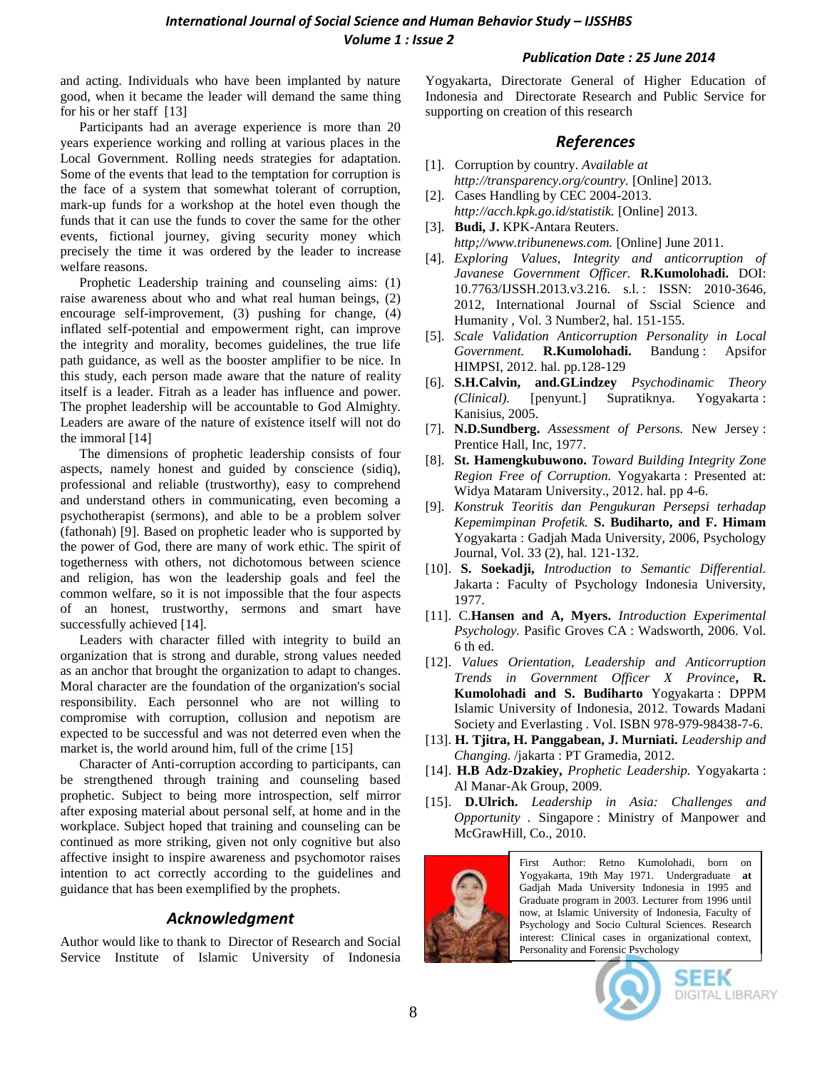and acting. Individuals who have been implanted by nature good, when it became the leader will demand the same thing for his or her staff [13]

Participants had an average experience is more than 20 years experience working and rolling at various places in the Local Government. Rolling needs strategies for adaptation. Some of the events that lead to the temptation for corruption is the face of a system that somewhat tolerant of corruption, mark-up funds for a workshop at the hotel even though the funds that it can use the funds to cover the same for the other events, fictional journey, giving security money which precisely the time it was ordered by the leader to increase welfare reasons.

Prophetic Leadership training and counseling aims: (1) raise awareness about who and what real human beings, (2) encourage self-improvement, (3) pushing for change, (4) inflated self-potential and empowerment right, can improve the integrity and morality, becomes guidelines, the true life path guidance, as well as the booster amplifier to be nice. In this study, each person made aware that the nature of reality itself is a leader. Fitrah as a leader has influence and power. The prophet leadership will be accountable to God Almighty. Leaders are aware of the nature of existence itself will not do the immoral [14]

The dimensions of prophetic leadership consists of four aspects, namely honest and guided by conscience (sidiq), professional and reliable (trustworthy), easy to comprehend and understand others in communicating, even becoming a psychotherapist (sermons), and able to be a problem solver (fathonah) [9]. Based on prophetic leader who is supported by the power of God, there are many of work ethic. The spirit of togetherness with others, not dichotomous between science and religion, has won the leadership goals and feel the common welfare, so it is not impossible that the four aspects of an honest, trustworthy, sermons and smart have successfully achieved [14].

Leaders with character filled with integrity to build an organization that is strong and durable, strong values needed as an anchor that brought the organization to adapt to changes. Moral character are the foundation of the organization's social responsibility. Each personnel who are not willing to compromise with corruption, collusion and nepotism are expected to be successful and was not deterred even when the market is, the world around him, full of the crime [15]

Character of Anti-corruption according to participants, can be strengthened through training and counseling based prophetic. Subject to being more introspection, self mirror after exposing material about personal self, at home and in the workplace. Subject hoped that training and counseling can be continued as more striking, given not only cognitive but also affective insight to inspire awareness and psychomotor raises intention to act correctly according to the guidelines and guidance that has been exemplified by the prophets.

#### *Acknowledgment*

Author would like to thank to Director of Research and Social Service Institute of Islamic University of Indonesia

Yogyakarta, Directorate General of Higher Education of Indonesia and Directorate Research and Public Service for supporting on creation of this research

## *References*

- [1]. Corruption by country. *Available at http://transparency.org/country.* [Online] 2013.
- [2]. Cases Handling by CEC 2004-2013. *http://acch.kpk.go.id/statistik.* [Online] 2013.
- [3]. **Budi, J.** KPK-Antara Reuters. *http;//www.tribunenews.com.* [Online] June 2011.
- [4]. *Exploring Values, Integrity and anticorruption of Javanese Government Officer.* **R.Kumolohadi.** DOI: 10.7763/IJSSH.2013.v3.216. s.l. : ISSN: 2010-3646, 2012, International Journal of Sscial Science and Humanity , Vol. 3 Number2, hal. 151-155.
- [5]. *Scale Validation Anticorruption Personality in Local Government.* **R.Kumolohadi.** Bandung : Apsifor HIMPSI, 2012. hal. pp.128-129
- [6]. **S.H.Calvin, and.GLindzey** *Psychodinamic Theory (Clinical).* [penyunt.] Supratiknya. Yogyakarta : Kanisius, 2005.
- [7]. **N.D.Sundberg.** *Assessment of Persons.* New Jersey : Prentice Hall, Inc, 1977.
- [8]. **St. Hamengkubuwono.** *Toward Building Integrity Zone Region Free of Corruption.* Yogyakarta : Presented at: Widya Mataram University., 2012. hal. pp 4-6.
- [9]. *Konstruk Teoritis dan Pengukuran Persepsi terhadap Kepemimpinan Profetik.* **S. Budiharto, and F. Himam**  Yogyakarta : Gadjah Mada University, 2006, Psychology Journal, Vol. 33 (2), hal. 121-132.
- [10]. **S. Soekadji,** *Introduction to Semantic Differential.*  Jakarta : Faculty of Psychology Indonesia University, 1977.
- [11]. C.**Hansen and A, Myers.** *Introduction Experimental Psychology.* Pasific Groves CA : Wadsworth, 2006. Vol. 6 th ed.
- [12]. *Values Orientation, Leadership and Anticorruption Trends in Government Officer X Province***, R. Kumolohadi and S. Budiharto** Yogyakarta : DPPM Islamic University of Indonesia, 2012. Towards Madani Society and Everlasting . Vol. ISBN 978-979-98438-7-6.
- [13]. **H. Tjitra, H. Panggabean, J. Murniati.** *Leadership and Changing.* /jakarta : PT Gramedia, 2012.
- [14]. **H.B Adz-Dzakiey,** *Prophetic Leadership.* Yogyakarta : Al Manar-Ak Group, 2009.
- [15]. **D.Ulrich.** *Leadership in Asia: Challenges and Opportunity .* Singapore : Ministry of Manpower and McGrawHill, Co., 2010.



First Author: Retno Kumolohadi, born on Yogyakarta, 19th May 1971. Undergraduate **at**  Gadjah Mada University Indonesia in 1995 and Graduate program in 2003. Lecturer from 1996 until now, at Islamic University of Indonesia, Faculty of Psychology and Socio Cultural Sciences. Research interest: Clinical cases in organizational context, Personality and Forensic Psychology



SEEK DIGITAL LIBRARY